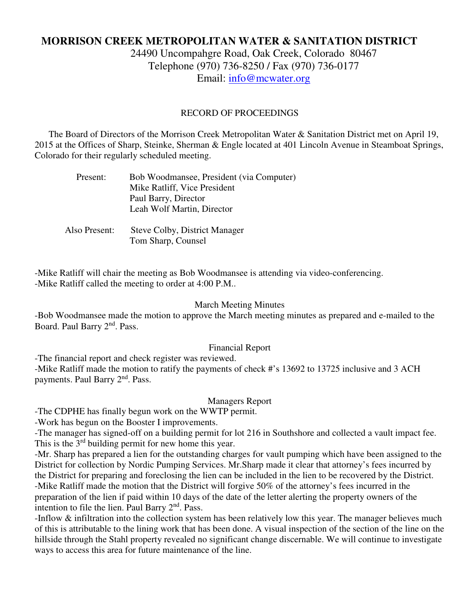# **MORRISON CREEK METROPOLITAN WATER & SANITATION DISTRICT**

24490 Uncompahgre Road, Oak Creek, Colorado 80467 Telephone (970) 736-8250 / Fax (970) 736-0177 Email: info@mcwater.org

### RECORD OF PROCEEDINGS

 The Board of Directors of the Morrison Creek Metropolitan Water & Sanitation District met on April 19, 2015 at the Offices of Sharp, Steinke, Sherman & Engle located at 401 Lincoln Avenue in Steamboat Springs, Colorado for their regularly scheduled meeting.

| Present: | Bob Woodmansee, President (via Computer) |
|----------|------------------------------------------|
|          | Mike Ratliff, Vice President             |
|          | Paul Barry, Director                     |
|          | Leah Wolf Martin, Director               |
|          |                                          |
|          |                                          |

 Also Present: Steve Colby, District Manager Tom Sharp, Counsel

-Mike Ratliff will chair the meeting as Bob Woodmansee is attending via video-conferencing. -Mike Ratliff called the meeting to order at 4:00 P.M..

#### March Meeting Minutes

-Bob Woodmansee made the motion to approve the March meeting minutes as prepared and e-mailed to the Board. Paul Barry 2<sup>nd</sup>. Pass.

## Financial Report

-The financial report and check register was reviewed.

-Mike Ratliff made the motion to ratify the payments of check #'s 13692 to 13725 inclusive and 3 ACH payments. Paul Barry 2nd. Pass.

# Managers Report

-The CDPHE has finally begun work on the WWTP permit.

-Work has begun on the Booster I improvements.

-The manager has signed-off on a building permit for lot 216 in Southshore and collected a vault impact fee. This is the  $3<sup>rd</sup>$  building permit for new home this year.

-Mr. Sharp has prepared a lien for the outstanding charges for vault pumping which have been assigned to the District for collection by Nordic Pumping Services. Mr.Sharp made it clear that attorney's fees incurred by the District for preparing and foreclosing the lien can be included in the lien to be recovered by the District. -Mike Ratliff made the motion that the District will forgive 50% of the attorney's fees incurred in the preparation of the lien if paid within 10 days of the date of the letter alerting the property owners of the intention to file the lien. Paul Barry  $2<sup>nd</sup>$ . Pass.

-Inflow & infiltration into the collection system has been relatively low this year. The manager believes much of this is attributable to the lining work that has been done. A visual inspection of the section of the line on the hillside through the Stahl property revealed no significant change discernable. We will continue to investigate ways to access this area for future maintenance of the line.